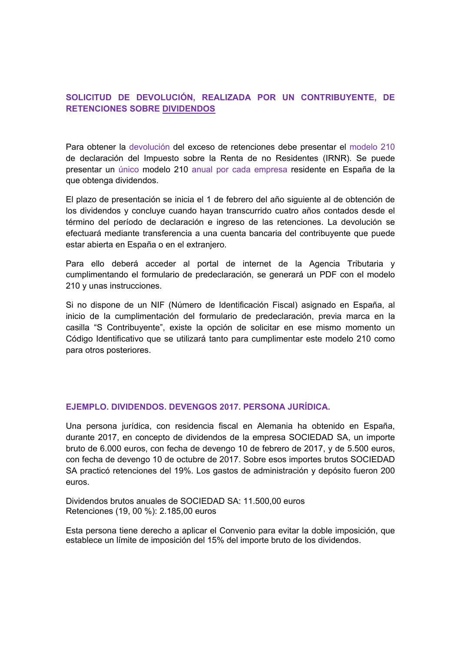## **SOLICITUD DE DEVOLUCIÓN, REALIZADA POR UN CONTRIBUYENTE, DE RETENCIONES SOBRE DIVIDENDOS**

Para obtener la devolución del exceso de retenciones debe presentar el modelo 210 de declaración del Impuesto sobre la Renta de no Residentes (IRNR). Se puede presentar un único modelo 210 anual por cada empresa residente en España de la que obtenga dividendos.

El plazo de presentación se inicia el 1 de febrero del año siguiente al de obtención de los dividendos y concluye cuando hayan transcurrido cuatro años contados desde el término del período de declaración e ingreso de las retenciones. La devolución se efectuará mediante transferencia a una cuenta bancaria del contribuyente que puede estar abierta en España o en el extranjero.

Para ello deberá acceder al portal de internet de la Agencia Tributaria y cumplimentando el formulario de predeclaración, se generará un PDF con el modelo 210 y unas instrucciones.

Si no dispone de un NIF (Número de Identificación Fiscal) asignado en España, al inicio de la cumplimentación del formulario de predeclaración, previa marca en la casilla "S Contribuyente", existe la opción de solicitar en ese mismo momento un Código Identificativo que se utilizará tanto para cumplimentar este modelo 210 como para otros posteriores.

## **EJEMPLO. DIVIDENDOS. DEVENGOS 2017. PERSONA JURÍDICA.**

Una persona jurídica, con residencia fiscal en Alemania ha obtenido en España, durante 2017, en concepto de dividendos de la empresa SOCIEDAD SA, un importe bruto de 6.000 euros, con fecha de devengo 10 de febrero de 2017, y de 5.500 euros, con fecha de devengo 10 de octubre de 2017. Sobre esos importes brutos SOCIEDAD SA practicó retenciones del 19%. Los gastos de administración y depósito fueron 200 euros.

Dividendos brutos anuales de SOCIEDAD SA: 11.500,00 euros Retenciones (19, 00 %): 2.185,00 euros

Esta persona tiene derecho a aplicar el Convenio para evitar la doble imposición, que establece un límite de imposición del 15% del importe bruto de los dividendos.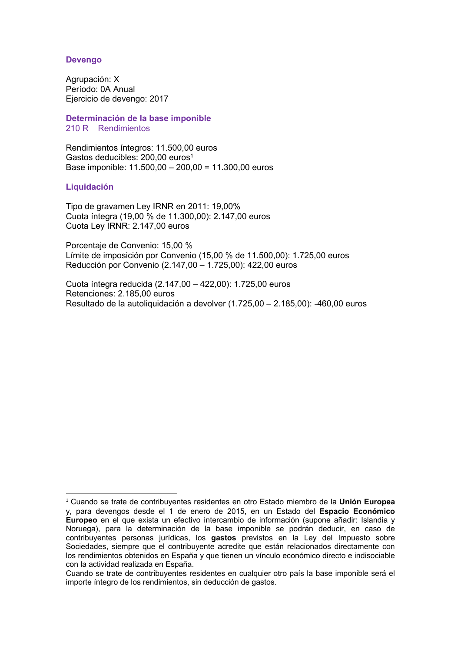#### **Devengo**

Agrupación: X Período: 0A Anual Ejercicio de devengo: 2017

**Determinación de la base imponible**  210 R Rendimientos

Rendimientos íntegros: 11.500,00 euros Gastos deducibles: 200,00 euros<sup>1</sup> Base imponible: 11.500,00 – 200,00 = 11.300,00 euros

#### **Liquidación**

Tipo de gravamen Ley IRNR en 2011: 19,00% Cuota íntegra (19,00 % de 11.300,00): 2.147,00 euros Cuota Ley IRNR: 2.147,00 euros

Porcentaje de Convenio: 15,00 % Límite de imposición por Convenio (15,00 % de 11.500,00): 1.725,00 euros Reducción por Convenio (2.147,00 – 1.725,00): 422,00 euros

Cuota íntegra reducida (2.147,00 – 422,00): 1.725,00 euros Retenciones: 2.185,00 euros Resultado de la autoliquidación a devolver (1.725,00 – 2.185,00): -460,00 euros

<sup>1</sup> <sup>1</sup> Cuando se trate de contribuyentes residentes en otro Estado miembro de la **Unión Europea** y, para devengos desde el 1 de enero de 2015, en un Estado del **Espacio Económico Europeo** en el que exista un efectivo intercambio de información (supone añadir: Islandia y Noruega), para la determinación de la base imponible se podrán deducir, en caso de contribuyentes personas jurídicas, los **gastos** previstos en la Ley del Impuesto sobre Sociedades, siempre que el contribuyente acredite que están relacionados directamente con los rendimientos obtenidos en España y que tienen un vínculo económico directo e indisociable con la actividad realizada en España.

Cuando se trate de contribuyentes residentes en cualquier otro país la base imponible será el importe íntegro de los rendimientos, sin deducción de gastos.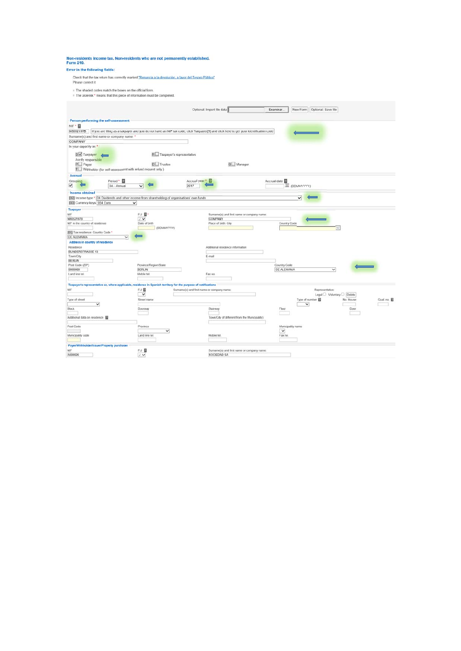| Form 210. | Non-residents income tax. Non-residents who are not permanently established. |
|-----------|------------------------------------------------------------------------------|
|           |                                                                              |

#### Error in the following fields:

Check that the tax return has correctly marked <u>"Renuncia a la devolución, a favor del Tesoro Público"</u><br>Please correct it

- 
- In The shaded codes match the boxes on the official form.<br>In The asterisk \* means that this piece of information must be completed.

|                                                                                                                                                   |                       |                                            | Optional: Import file data                     | Examinar     | New Form   Optional: Save file |                            |          |
|---------------------------------------------------------------------------------------------------------------------------------------------------|-----------------------|--------------------------------------------|------------------------------------------------|--------------|--------------------------------|----------------------------|----------|
|                                                                                                                                                   |                       |                                            |                                                |              |                                |                            |          |
| Person performing the self-assessment                                                                                                             |                       |                                            |                                                |              |                                |                            |          |
| NIF . 2                                                                                                                                           |                       |                                            |                                                |              |                                |                            |          |
| N9052197B   If you are filing as a laxpayer and you do not have an NIF tax code, click Taxpayer[S] and click here to get your identification code |                       |                                            |                                                |              |                                |                            |          |
| Surname(s) and first name or company name: *                                                                                                      |                       |                                            |                                                |              |                                |                            |          |
| COMPANY                                                                                                                                           |                       |                                            |                                                |              |                                |                            |          |
| In your capacity as *                                                                                                                             |                       |                                            |                                                |              |                                |                            |          |
|                                                                                                                                                   |                       |                                            |                                                |              |                                |                            |          |
| SV Taxpayer                                                                                                                                       |                       | R Taxpayer's representative                |                                                |              |                                |                            |          |
| Jointly responsible                                                                                                                               |                       |                                            |                                                |              |                                |                            |          |
| $P \Box$ Payer                                                                                                                                    | <b>D</b> Trustee      |                                            | G Manager                                      |              |                                |                            |          |
| T Withholder (for self-assessment with refund request only.)                                                                                      |                       |                                            |                                                |              |                                |                            |          |
| Accrual                                                                                                                                           |                       |                                            |                                                |              |                                |                            |          |
| Period * 2<br>Grouping                                                                                                                            |                       | Accrual year *                             |                                                | Accrual date |                                |                            |          |
| ✓<br>0A - Annual                                                                                                                                  | $\vee$                | 2017                                       |                                                |              | UDIMAYYYYY                     |                            |          |
|                                                                                                                                                   |                       |                                            |                                                |              |                                |                            |          |
| <b>Income obtained</b>                                                                                                                            |                       |                                            |                                                |              |                                |                            |          |
| [02] Income type * 04 Dividends and other income from shareholding of organisations' own funds                                                    |                       |                                            |                                                |              |                                |                            |          |
| [03] Currency keys 954 Euro                                                                                                                       | $\checkmark$          |                                            |                                                |              |                                |                            |          |
| Taxpayer                                                                                                                                          |                       |                                            |                                                |              |                                |                            |          |
| NIF                                                                                                                                               | FU <b>R</b>           |                                            | Surname(s) and first name or company name.     |              |                                |                            |          |
| N9052197B                                                                                                                                         | $J_V$                 |                                            | COMPANY                                        |              |                                |                            |          |
| NIF in the country of residence                                                                                                                   | Date of birth         |                                            | Place of birth: City                           | Country Code |                                |                            |          |
|                                                                                                                                                   | (DDMMYYYYY)           |                                            |                                                |              |                                | $\overline{\mathbf{v}}$    |          |
| [01] Tax residence: Country Code *                                                                                                                |                       |                                            |                                                |              |                                |                            |          |
| DE ALEMANIA                                                                                                                                       |                       |                                            |                                                |              |                                |                            |          |
| Address in country of residence                                                                                                                   |                       |                                            |                                                |              |                                |                            |          |
| Residence                                                                                                                                         |                       |                                            | Additional residence information               |              |                                |                            |          |
| <b>BUNDERSTRASSE 13</b><br>Town/City                                                                                                              |                       |                                            | E-mail                                         |              |                                |                            |          |
| BERLIN                                                                                                                                            |                       |                                            |                                                |              |                                |                            |          |
| Post Code (ZIP)                                                                                                                                   | Province/Region/State |                                            |                                                | Country Code |                                |                            |          |
| 9999999                                                                                                                                           | BERLIN                |                                            |                                                | DE ALEMANIA  |                                | $\overline{\mathsf{v}}$    |          |
| Land line tel.                                                                                                                                    | Mobile tel            |                                            | Fax no.                                        |              |                                |                            |          |
|                                                                                                                                                   |                       |                                            |                                                |              |                                |                            |          |
| Taxpayer's representative or, where applicable, residence in Spanish territory for the purpose of notifications                                   |                       |                                            |                                                |              |                                |                            |          |
| NIF                                                                                                                                               | FU <b>E</b>           | Surname(s) and first name or company name. |                                                |              |                                | Representative:            |          |
|                                                                                                                                                   | $\checkmark$          |                                            |                                                |              |                                | Legal O Voluntary O Delete |          |
| Type of street                                                                                                                                    | Street name           |                                            |                                                |              | Type of number                 | No. House                  | Qual no. |
| $\checkmark$                                                                                                                                      |                       |                                            |                                                |              | $\checkmark$                   |                            |          |
| <b>Block</b>                                                                                                                                      | Doorway               |                                            | Stairway                                       | Floor        |                                | Door                       |          |
|                                                                                                                                                   |                       |                                            |                                                |              |                                |                            |          |
| Additional data on residence <b>El</b>                                                                                                            |                       |                                            | Town/City (if different from the Municipality) |              |                                |                            |          |
|                                                                                                                                                   |                       |                                            |                                                |              |                                |                            |          |
| Post Code                                                                                                                                         | Province              |                                            |                                                |              | Municipality name              |                            |          |
|                                                                                                                                                   |                       | $\checkmark$                               |                                                | $\checkmark$ |                                |                            |          |
| Municipality code                                                                                                                                 | Land line tel.        |                                            | Mobile tel.                                    | Fax no       |                                |                            |          |
|                                                                                                                                                   |                       |                                            |                                                |              |                                |                            |          |
| Payer/Withholder/Issuer/Property purchaser                                                                                                        |                       |                                            |                                                |              |                                |                            |          |
| NIF                                                                                                                                               | F/J <b>D</b>          |                                            | Surname(s) and first name or company name:     |              |                                |                            |          |
| A999999                                                                                                                                           | $J \vee$              |                                            | SOCIEDAD SA                                    |              |                                |                            |          |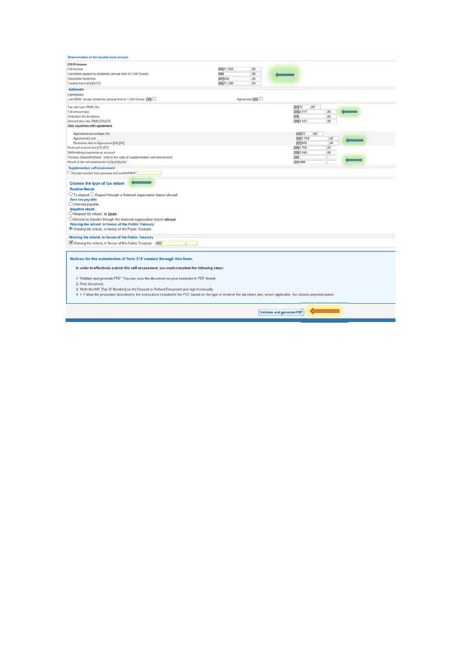| Determination of the taxable base amount                                                                                                                                                                                                                                                                                                                                                                                                                                                                                                                      |                   |                           |
|---------------------------------------------------------------------------------------------------------------------------------------------------------------------------------------------------------------------------------------------------------------------------------------------------------------------------------------------------------------------------------------------------------------------------------------------------------------------------------------------------------------------------------------------------------------|-------------------|---------------------------|
| 210 R Income                                                                                                                                                                                                                                                                                                                                                                                                                                                                                                                                                  |                   |                           |
| Full income                                                                                                                                                                                                                                                                                                                                                                                                                                                                                                                                                   | (05) 11,500<br>00 |                           |
| Exemption applied to dividends (annual limit of 1,500 Euros)                                                                                                                                                                                                                                                                                                                                                                                                                                                                                                  | 00<br>[06]        |                           |
| Deductible expenses                                                                                                                                                                                                                                                                                                                                                                                                                                                                                                                                           | [07]200<br>00     |                           |
| Taxable base ([5]-[6]-[7])                                                                                                                                                                                                                                                                                                                                                                                                                                                                                                                                    | (08) 11.300<br>00 |                           |
| Settlement                                                                                                                                                                                                                                                                                                                                                                                                                                                                                                                                                    |                   |                           |
|                                                                                                                                                                                                                                                                                                                                                                                                                                                                                                                                                               |                   |                           |
| Exemptions:                                                                                                                                                                                                                                                                                                                                                                                                                                                                                                                                                   |                   |                           |
| Law IRNR, except dividends (annual limit of 1,500 Euros) [19]                                                                                                                                                                                                                                                                                                                                                                                                                                                                                                 | Agreement [20]    |                           |
| Tax rate Law IRNR (%)                                                                                                                                                                                                                                                                                                                                                                                                                                                                                                                                         |                   | 00<br>[21]19              |
| Full amount due                                                                                                                                                                                                                                                                                                                                                                                                                                                                                                                                               |                   | [22]2.147<br>00           |
| Deduction for donations                                                                                                                                                                                                                                                                                                                                                                                                                                                                                                                                       |                   | 1231<br>00                |
| Amount due Law IRNR [22]-[23]                                                                                                                                                                                                                                                                                                                                                                                                                                                                                                                                 |                   | $[24]$ $2.147$<br>00      |
| Only countries with agreement                                                                                                                                                                                                                                                                                                                                                                                                                                                                                                                                 |                   |                           |
|                                                                                                                                                                                                                                                                                                                                                                                                                                                                                                                                                               |                   |                           |
| Agreement percentage (%)                                                                                                                                                                                                                                                                                                                                                                                                                                                                                                                                      |                   | [25]15<br>.00             |
| Agreement Limit                                                                                                                                                                                                                                                                                                                                                                                                                                                                                                                                               |                   | $[26]$ 1.725<br>.00       |
| Reduction due to Agreement [24]-[26]                                                                                                                                                                                                                                                                                                                                                                                                                                                                                                                          |                   | 00<br>[27]422             |
| Reduced amount due [24]-[27]                                                                                                                                                                                                                                                                                                                                                                                                                                                                                                                                  |                   | 00<br>[28] 1.725          |
| Withholdings/payments on account                                                                                                                                                                                                                                                                                                                                                                                                                                                                                                                              |                   | [29] 2.185<br>00          |
| Previous Deposit/Refund. Only in the case of supplementary self-assessment.                                                                                                                                                                                                                                                                                                                                                                                                                                                                                   |                   | [30]                      |
| Result of the self-assessment [28]-[29]±[30] *                                                                                                                                                                                                                                                                                                                                                                                                                                                                                                                |                   | $[31] - 460$              |
| <b>Supplementary self-assessment</b>                                                                                                                                                                                                                                                                                                                                                                                                                                                                                                                          |                   |                           |
| Receipt number from previous self-assessment:                                                                                                                                                                                                                                                                                                                                                                                                                                                                                                                 |                   |                           |
| Choose the type of tax return<br><b>Positive Result</b><br>$\bigcirc$ To deposit $\bigcirc$ Deposit through a financial organisation based abroad<br>Zero tax payable<br>Zero tax payable<br>Negative result.<br>Request for refund. In Spain<br>Refund by transfer through the financial organisation based abroad<br>Waiving the refund, in favour of the Public Treasury<br>. Waiving the refund, in favour of the Public Treasury                                                                                                                         |                   |                           |
| Waiving the refund, in favour of the Public Treasury                                                                                                                                                                                                                                                                                                                                                                                                                                                                                                          |                   |                           |
| Waiving the refund, in favour of the Public Treasury 460                                                                                                                                                                                                                                                                                                                                                                                                                                                                                                      |                   |                           |
|                                                                                                                                                                                                                                                                                                                                                                                                                                                                                                                                                               |                   |                           |
| Notices for the submission of form 210 created through this form.<br>In order to effectively submit this self-assessment, you must complete the following steps:<br>1. Validate and generate PDF. You can save the document on your computer in PDF format.<br>2. Print document.<br>3. Write the NIF [Tax ID Number] on the Deposit or Refund Document and sign it manually.<br>4. 4. Follow the procedure described in the instructions included in the PDF based on the type of result of the tax return and, where applicable, the chosen payment option. |                   |                           |
|                                                                                                                                                                                                                                                                                                                                                                                                                                                                                                                                                               |                   |                           |
|                                                                                                                                                                                                                                                                                                                                                                                                                                                                                                                                                               |                   | Validate and generate PDF |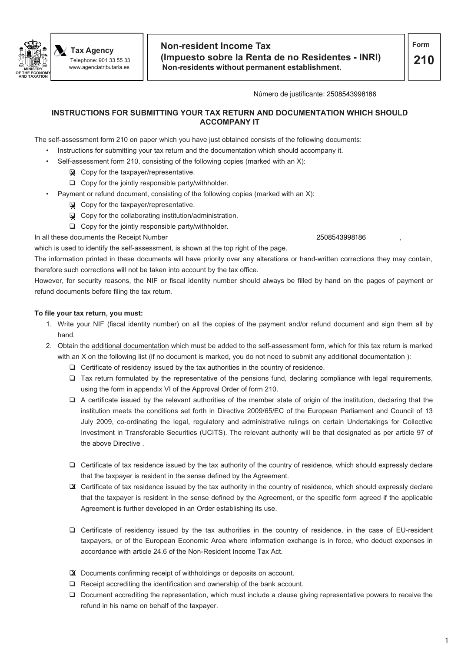

#### Número de justificante: 2508543998186

## **INSTRUCTIONS FOR SUBMITTING YOUR TAX RETURN AND DOCUMENTATION WHICH SHOULD ACCOMPANY IT**

The self-assessment form 210 on paper which you have just obtained consists of the following documents:

- Instructions for submitting your tax return and the documentation which should accompany it.
	- Self-assessment form 210, consisting of the following copies (marked with an X):
		- **X** Copy for the taxpayer/representative.
		- □ Copy for the jointly responsible party/withholder.
- Payment or refund document, consisting of the following copies (marked with an X):
	- **Q** Copy for the taxpayer/representative.
	- **W** Copy for the collaborating institution/administration.
	- □ Copy for the jointly responsible party/withholder.

In all these documents the Receipt Number

which is used to identify the self-assessment, is shown at the top right of the page. The information printed in these documents will have priority over any alterations or hand-written corrections they may contain, therefore such corrections will not be taken into account by the tax office.

However, for security reasons, the NIF or fiscal identity number should always be filled by hand on the pages of payment or refund documents before filing the tax return.

## **To file your tax return, you must:**

- 1. Write your NIF (fiscal identity number) on all the copies of the payment and/or refund document and sign them all by hand.
- 2. Obtain the additional documentation which must be added to the self-assessment form, which for this tax return is marked with an X on the following list (if no document is marked, you do not need to submit any additional documentation):
	- □ Certificate of residency issued by the tax authorities in the country of residence.
	- Tax return formulated by the representative of the pensions fund, declaring compliance with legal requirements, using the form in appendix VI of the Approval Order of form 210.
	- □ A certificate issued by the relevant authorities of the member state of origin of the institution, declaring that the institution meets the conditions set forth in Directive 2009/65/EC of the European Parliament and Council of 13 July 2009, co-ordinating the legal, regulatory and administrative rulings on certain Undertakings for Collective Investment in Transferable Securities (UCITS). The relevant authority will be that designated as per article 97 of the above Directive .
	- □ Certificate of tax residence issued by the tax authority of the country of residence, which should expressly declare that the taxpayer is resident in the sense defined by the Agreement.
	- X Certificate of tax residence issued by the tax authority in the country of residence, which should expressly declare that the taxpayer is resident in the sense defined by the Agreement, or the specific form agreed if the applicable Agreement is further developed in an Order establishing its use.
	- □ Certificate of residency issued by the tax authorities in the country of residence, in the case of EU-resident taxpayers, or of the European Economic Area where information exchange is in force, who deduct expenses in accordance with article 24.6 of the Non-Resident Income Tax Act.
	- X Documents confirming receipt of withholdings or deposits on account.
	- □ Receipt accrediting the identification and ownership of the bank account.
	- □ Document accrediting the representation, which must include a clause giving representative powers to receive the refund in his name on behalf of the taxpayer.

#### 2508543998186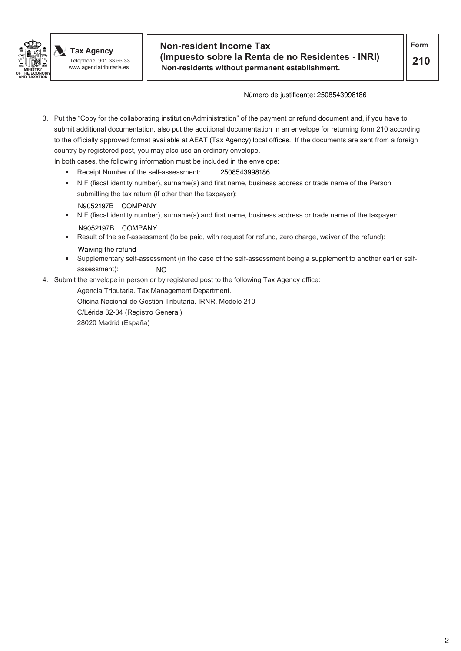

## **Non-resident Income Tax (Impuesto sobre la Renta de no Residentes - INRI) Non-residents without permanent establishment.**

#### Número de justificante: 2508543998186

- 3. Put the "Copy for the collaborating institution/Administration" of the payment or refund document and, if you have to submit additional documentation, also put the additional documentation in an envelope for returning form 210 according to the officially approved format available at AEAT (Tax Agency) local offices. If the documents are sent from a foreign country by registered post, you may also use an ordinary envelope.
	- In both cases, the following information must be included in the envelope:
		- Receipt Number of the self-assessment: 2508543998186
		- NIF (fiscal identity number), surname(s) and first name, business address or trade name of the Person submitting the tax return (if other than the taxpayer):
		- N9052197B COMPANY
		- NIF (fiscal identity number), surname(s) and first name, business address or trade name of the taxpayer: N9052197B COMPANY
		- Result of the self-assessment (to be paid, with request for refund, zero charge, waiver of the refund): Waiving the refund
		- Supplementary self-assessment (in the case of the self-assessment being a supplement to another earlier selfassessment): NO
- 4. Submit the envelope in person or by registered post to the following Tax Agency office:

Agencia Tributaria. Tax Management Department.

Oficina Nacional de Gestión Tributaria. IRNR. Modelo 210

C/Lérida 32-34 (Registro General)

28020 Madrid (España)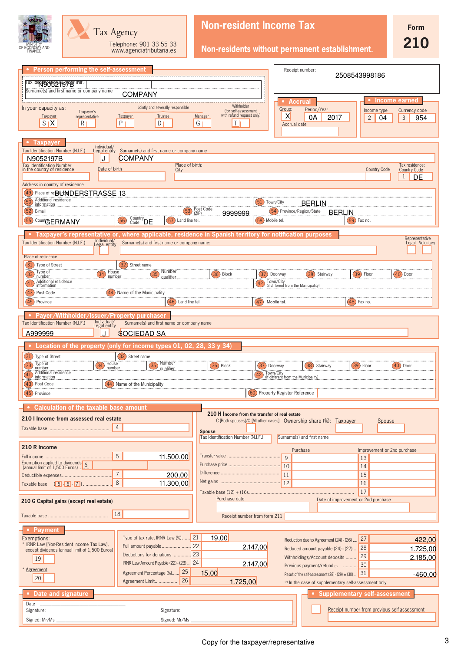| Tax Agency<br>Telephone: 901 33 55 33<br>OF ECONOMY AND<br>www.agenciatributaria.es                                                                                                                                                                                                                                                               | <b>Non-resident Income Tax</b><br><b>Form</b><br>210<br>Non-residents without permanent establishment.                                                                                                                                                                                                                                                                                                          |
|---------------------------------------------------------------------------------------------------------------------------------------------------------------------------------------------------------------------------------------------------------------------------------------------------------------------------------------------------|-----------------------------------------------------------------------------------------------------------------------------------------------------------------------------------------------------------------------------------------------------------------------------------------------------------------------------------------------------------------------------------------------------------------|
| Person performing the self-assessment<br>Tax Identgrots 2 Ngt PB (NIF)<br>Surname(s) and first name or company name<br><b>COMPANY</b>                                                                                                                                                                                                             | Receipt number:<br>2508543998186                                                                                                                                                                                                                                                                                                                                                                                |
| Jointly and severally responsible<br>In your capacity as:<br>Taxpayer's<br>Taxpayer<br>representative<br>Trustee<br>Taxpayer<br>P<br>D<br>S <sub>1</sub> X<br>R                                                                                                                                                                                   | <b>Income earned</b><br><b>Accrual</b><br>Withholder<br>Group:<br>Period/Year<br>(for self-assessment<br>Currency code<br>Income type<br>with refund request only)<br>X<br>Manager<br>0Α<br>2017<br>$\overline{2}$<br>3<br>954<br>04<br>G<br>$\mathbf{I}$<br>Accrual date                                                                                                                                       |
| <b>Taxpayer</b><br>Individual/<br>Legal entity Surname(s) and first name or company name<br>Tax Identification Number (N.I.F.)<br><b>COMPANY</b><br>N9052197B<br>J<br>Tax Identification Number<br>in the country of residence<br>Date of birth<br>City                                                                                           | Place of birth:<br>Tax residence:<br><b>Country Code</b><br><b>Country Code</b><br>1<br>DE                                                                                                                                                                                                                                                                                                                      |
| Address in country of residence<br>(49<br>Place of re <b>BUNDERSTRASSE 13</b><br>Additional residence<br>(50)<br>information<br>$(52)$ E-mail<br>Country <sub>DE</sub><br>(57) Land line tel.<br>(55)<br>(56)<br>Count <sub>GERMANY</sub>                                                                                                         | (51) Town/City<br><b>BERLIN</b><br>Post Code<br>(53)<br>(54) Province/Region/State<br><b>BERLIN</b><br>9999999<br>(ZIP)<br>(58) Mobile tel.<br>$(59)$ Fax no.                                                                                                                                                                                                                                                   |
| Taxpayer's representative or, where applicable, residence in Spanish territory for notification purposes<br>Individual/<br>Legal entity<br>Tax Identification Number (N.I.F.)<br>Surname(s) and first name or company name:<br>Place of residence                                                                                                 | Representative<br>Legal Voluntary                                                                                                                                                                                                                                                                                                                                                                               |
| (31<br>32) Street name<br>Type of Street<br><b>Number</b><br>House<br>Type of<br>(33)<br>34 <sup>°</sup><br>(35)<br>number<br>number<br>.gualifier<br>Additional residence<br>(41)<br>information.<br>(43) Post Code<br>(44) Name of the Municipality<br>(45) Province<br>$(46)$ Land line tel.                                                   | $(36)$ Block<br>(37) Doorway<br>(38)<br>Stairway<br>[39]<br>$(40)$ Door<br>Floor<br>Town/City<br>(42)<br>(if different from the Municipality<br>(47)<br>$(48)$ Fax no.<br>Mobile tel                                                                                                                                                                                                                            |
| <b>Payer/Withholder/Issuer/Property purchaser</b><br>Individual/<br>Legal entity<br>Tax Identification Number (N.I.F.)<br>Surname(s) and first name or company name<br><b>SOCIEDAD SA</b><br>A999999<br>J                                                                                                                                         |                                                                                                                                                                                                                                                                                                                                                                                                                 |
| Location of the property (only for income types 01, 02, 28, 33 y 34)<br>(32) Street name<br>(31) Type of Street<br>$\overline{33}$ Type of<br>$\frac{1}{34}$ House<br>35 Number<br>number<br>Additional residence<br>number.<br>(41)<br>information<br>(44) Name of the Municipality<br>(43) Post Code<br>(45) Province                           | $(36)$ Block<br>$\frac{(37)}{200}$ Doorway<br>38) Stairway<br>$(39)$ Floor<br>Town/City<br>(if different from the Municipality).<br>(60) Property Register Reference                                                                                                                                                                                                                                            |
| <b>Calculation of the taxable base amount</b><br>210 I Income from assessed real estate<br>4                                                                                                                                                                                                                                                      | 210 H Income from the transfer of real estate<br>C [Both spouses]/O [All other cases] Ownership share (%): Taxpayer<br>Spouse<br><b>Spouse</b><br>Tax Identification Number (N.I.F.)<br>Surname(s) and first name                                                                                                                                                                                               |
| 210 R Income<br>5<br>11.500,00<br>Exemption applied to dividends 6<br>(annual limit of 1,500 Euros)<br>$\overline{7}$<br>200,00<br>8<br>11.300,00                                                                                                                                                                                                 | Purchase<br>Improvement or 2nd purchase<br>$\mathsf{Q}$<br>13<br>10<br>14<br><sup>11</sup><br>15<br><sup>12</sup><br>16<br>17                                                                                                                                                                                                                                                                                   |
| 210 G Capital gains (except real estate)<br>18                                                                                                                                                                                                                                                                                                    | Purchase date<br>Date of improvement or 2nd purchase<br>Receipt number from form 211                                                                                                                                                                                                                                                                                                                            |
| • Payment<br>Type of tax rate, IRNR Law (%) 21<br>Exemptions:<br>* IRNR Law [Non-Resident Income Tax Law],<br>Full amount payable<br>except dividends (annual limit of 1,500 Euros)<br>Deductions for donations<br>19<br>IRNR Law Amount Payable (22) - (23)  24<br>* Agreement<br>25<br>Agreement Percentage (%)<br>20<br> 26<br>Agreement Limit | 19,00<br>27<br>422,00<br>Reduction due to Agreement (24) - (26)<br>122<br>2.147,00<br>1.725,00<br>28<br>Reduced amount payable (24) - (27)<br>23<br>29<br>Withholdings/Account deposits<br>2.185,00<br>2.147,00<br>30<br>Previous payment/refund (*)<br>15,00<br>31<br>$-460,00$<br>Result of the self-assessment $(28) - (29) \pm (30)$ .<br>1.725,00<br>(1) In the case of supplementary self-assessment only |
| Date and signature<br>Date<br>Signature:<br>Signature:<br>Signed: Mr/Ms<br>Signed: Mr/Ms                                                                                                                                                                                                                                                          | <b>Supplementary self-assessment</b><br>Receipt number from previous self-assessment                                                                                                                                                                                                                                                                                                                            |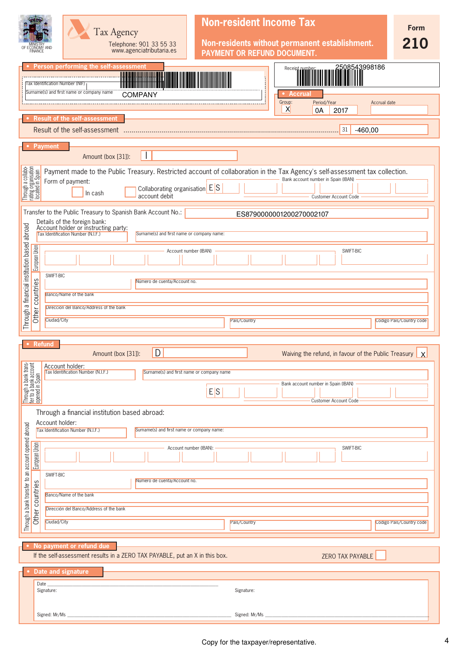|                                                                   |                 | Tax Agency<br>Telephone: 901 33 55 33<br>www.agenciatributaria.es<br>omy and                                                                                                                                             |                        |               | <b>Non-resident Income Tax</b><br>Non-residents without permanent establishment.<br>PAYMENT OR REFUND DOCUMENT.                  | <b>Form</b><br>210       |
|-------------------------------------------------------------------|-----------------|--------------------------------------------------------------------------------------------------------------------------------------------------------------------------------------------------------------------------|------------------------|---------------|----------------------------------------------------------------------------------------------------------------------------------|--------------------------|
|                                                                   |                 | Person performing the self-assessment<br>Tax Identification Number (NIF)<br>Surname(s) and first name or company name<br><b>COMPANY</b>                                                                                  |                        |               | 2508543998186<br>Receipt number:<br><b>Accrual</b><br>Group:<br>Period/Year<br><b>Accrual date</b><br>$\mathsf{X}$<br>0A<br>2017 |                          |
|                                                                   |                 | <b>Result of the self-assessment</b><br>Result of the self-assessment                                                                                                                                                    |                        |               | 31<br>$-460,00$                                                                                                                  |                          |
|                                                                   |                 | <b>Payment</b><br>Amount (box [31]):<br>$\mathbf{I}$                                                                                                                                                                     |                        |               |                                                                                                                                  |                          |
| Through a collabo-<br>rating organisation<br>located in Spain     |                 | Payment made to the Public Treasury. Restricted account of collaboration in the Tax Agency's self-assessment tax collection.<br>Form of payment:<br>Collaborating organisation ES<br>In cash<br>account debit            |                        |               | Bank account number in Spain (IBAN)<br>Customer Account Code                                                                     |                          |
|                                                                   |                 | Transfer to the Public Treasury to Spanish Bank Account No.:<br>Details of the foreign bank:<br>Account holder or instructing party:<br>Tax Identification Number (N.I.F.)<br>Surname(s) and first name or company name: |                        |               | ES8790000001200270002107                                                                                                         |                          |
| Through a financial institution based abroad                      | European Union  |                                                                                                                                                                                                                          | Account number (IBAN)  |               | SWIFT-BIC                                                                                                                        |                          |
|                                                                   | Other countries | SWIFT-BIC<br>Número de cuenta/Account no.<br>Banco/Name of the bank<br>Dirección del Banco/Address of the bank                                                                                                           |                        |               |                                                                                                                                  |                          |
|                                                                   |                 | Ciudad/City                                                                                                                                                                                                              |                        | País/Country  |                                                                                                                                  | Código País/Country code |
|                                                                   |                 | Refund<br>D<br>Amount (box [31]):                                                                                                                                                                                        |                        |               | Waiving the refund, in favour of the Public Treasury                                                                             | $\mathsf{X}$             |
| Through a bank trans-<br>fer to a bank account<br>opened in Spain |                 | Account holder:<br>Tax Identification Number (N.I.F.)<br>Surname(s) and first name or company name                                                                                                                       | E S                    |               | Bank account number in Spain (IBAN)<br>Customer Account Code                                                                     |                          |
|                                                                   |                 | Through a financial institution based abroad:<br>Account holder:<br>Tax Identification Number (N.I.F.)<br>Surname(s) and first name or company name:                                                                     |                        |               |                                                                                                                                  |                          |
| Through a bank transfer to an account opened abroad               | European Union  |                                                                                                                                                                                                                          | Account number (IBAN): |               | SWIFT-BIC                                                                                                                        |                          |
|                                                                   | Other countries | SWIFT-BIC<br>Número de cuenta/Account no.<br>Banco/Name of the bank                                                                                                                                                      |                        |               |                                                                                                                                  |                          |
|                                                                   |                 | Dirección del Banco/Address of the bank<br>Ciudad/City                                                                                                                                                                   |                        | País/Country  |                                                                                                                                  | Código País/Country code |
|                                                                   |                 | No payment or refund due<br>If the self-assessment results in a ZERO TAX PAYABLE, put an X in this box.                                                                                                                  |                        |               | ZERO TAX PAYABLE                                                                                                                 |                          |
|                                                                   | Date            | Date and signature<br>Signature:                                                                                                                                                                                         |                        | Signature:    |                                                                                                                                  |                          |
|                                                                   |                 | Signed: Mr/Ms                                                                                                                                                                                                            |                        | Signed: Mr/Ms | and the control of the control of the                                                                                            |                          |